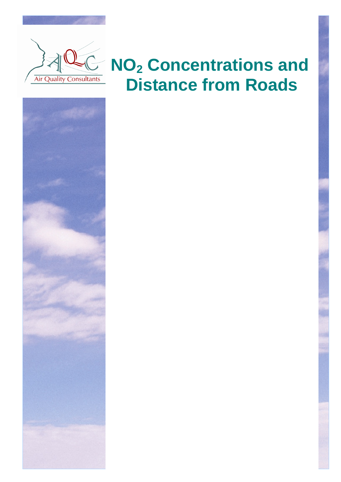

i

# **NO<sup>2</sup> Concentrations and Distance from Roads**

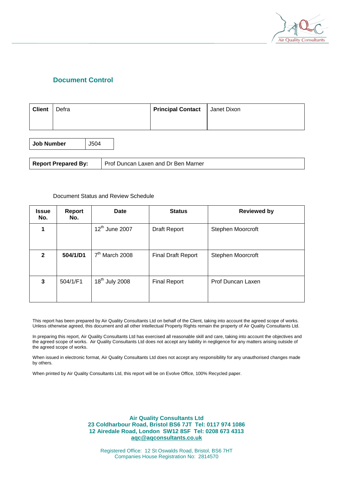

## **Document Control**

| <b>Client</b> | Defra | <b>Principal Contact</b>   Janet Dixon |  |
|---------------|-------|----------------------------------------|--|
|               |       |                                        |  |

**Job Number** | J504

#### Document Status and Review Schedule

| <b>Issue</b><br>No. | <b>Report</b><br>No. | <b>Date</b>                | <b>Status</b>             | <b>Reviewed by</b> |
|---------------------|----------------------|----------------------------|---------------------------|--------------------|
|                     |                      | 12 <sup>th</sup> June 2007 | Draft Report              | Stephen Moorcroft  |
| $\mathbf{2}$        | 504/1/D1             | $7th$ March 2008           | <b>Final Draft Report</b> | Stephen Moorcroft  |
| 3                   | 504/1/F1             | 18 <sup>th</sup> July 2008 | <b>Final Report</b>       | Prof Duncan Laxen  |

This report has been prepared by Air Quality Consultants Ltd on behalf of the Client, taking into account the agreed scope of works. Unless otherwise agreed, this document and all other Intellectual Property Rights remain the property of Air Quality Consultants Ltd.

In preparing this report, Air Quality Consultants Ltd has exercised all reasonable skill and care, taking into account the objectives and the agreed scope of works. Air Quality Consultants Ltd does not accept any liability in negligence for any matters arising outside of the agreed scope of works.

When issued in electronic format, Air Quality Consultants Ltd does not accept any responsibility for any unauthorised changes made by others.

When printed by Air Quality Consultants Ltd, this report will be on Evolve Office, 100% Recycled paper.

**Air Quality Consultants Ltd 23 Coldharbour Road, Bristol BS6 7JT Tel: 0117 974 1086 12 Airedale Road, London SW12 8SF Tel: 0208 673 4313 [aqc@aqconsultants.co.uk](mailto:aqc@aqconsultants.co.uk)** 

Registered Office: 12 St Oswalds Road, Bristol, BS6 7HT Companies House Registration No: 2814570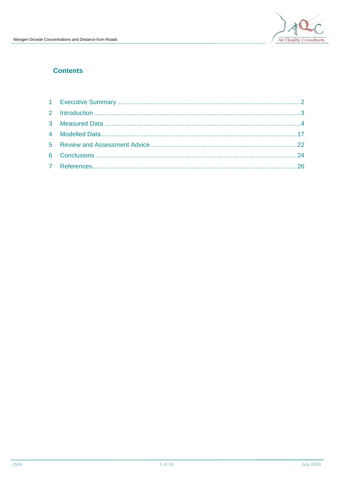

## **Contents**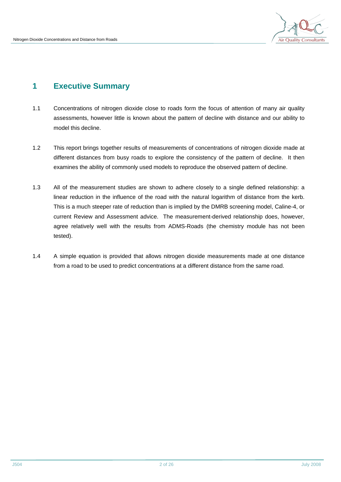

# **1 Executive Summary**

- 1.1 Concentrations of nitrogen dioxide close to roads form the focus of attention of many air quality assessments, however little is known about the pattern of decline with distance and our ability to model this decline.
- 1.2 This report brings together results of measurements of concentrations of nitrogen dioxide made at different distances from busy roads to explore the consistency of the pattern of decline. It then examines the ability of commonly used models to reproduce the observed pattern of decline.
- 1.3 All of the measurement studies are shown to adhere closely to a single defined relationship: a linear reduction in the influence of the road with the natural logarithm of distance from the kerb. This is a much steeper rate of reduction than is implied by the DMRB screening model, Caline-4, or current Review and Assessment advice. The measurement-derived relationship does, however, agree relatively well with the results from ADMS-Roads (the chemistry module has not been tested).
- 1.4 A simple equation is provided that allows nitrogen dioxide measurements made at one distance from a road to be used to predict concentrations at a different distance from the same road.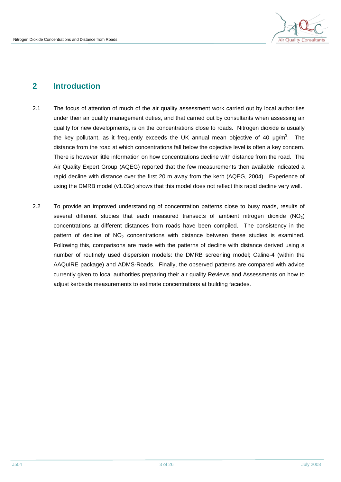

# **2 Introduction**

- 2.1 The focus of attention of much of the air quality assessment work carried out by local authorities under their air quality management duties, and that carried out by consultants when assessing air quality for new developments, is on the concentrations close to roads. Nitrogen dioxide is usually the key pollutant, as it frequently exceeds the UK annual mean objective of 40  $\mu$ g/m<sup>3</sup>. The distance from the road at which concentrations fall below the objective level is often a key concern. There is however little information on how concentrations decline with distance from the road. The Air Quality Expert Group (AQEG) reported that the few measurements then available indicated a rapid decline with distance over the first 20 m away from the kerb (AQEG, 2004). Experience of using the DMRB model (v1.03c) shows that this model does not reflect this rapid decline very well.
- 2.2 To provide an improved understanding of concentration patterns close to busy roads, results of several different studies that each measured transects of ambient nitrogen dioxide  $(NO<sub>2</sub>)$ concentrations at different distances from roads have been compiled. The consistency in the pattern of decline of  $NO<sub>2</sub>$  concentrations with distance between these studies is examined. Following this, comparisons are made with the patterns of decline with distance derived using a number of routinely used dispersion models: the DMRB screening model; Caline-4 (within the AAQuIRE package) and ADMS-Roads. Finally, the observed patterns are compared with advice currently given to local authorities preparing their air quality Reviews and Assessments on how to adjust kerbside measurements to estimate concentrations at building facades.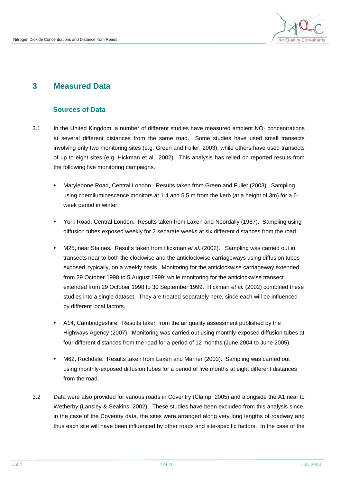

## **3 Measured Data**

## **Sources of Data**

- 3.1 In the United Kingdom, a number of different studies have measured ambient  $NO<sub>2</sub>$  concentrations at several different distances from the same road. Some studies have used small transects involving only two monitoring sites (e.g. Green and Fuller, 2003), while others have used transects of up to eight sites (e.g. Hickman et al., 2002). This analysis has relied on reported results from the following five monitoring campaigns.
	- Marylebone Road, Central London. Results taken from Green and Fuller (2003). Sampling using chemiluminescence monitors at 1.4 and 5.5 m from the kerb (at a height of 3m) for a 6 week period in winter.
	- York Road, Central London. Results taken from Laxen and Noordally (1987). Sampling using diffusion tubes exposed weekly for 2 separate weeks at six different distances from the road.
	- M25, near Staines. Results taken from Hickman *et al*. (2002). Sampling was carried out in transects near to both the clockwise and the anticlockwise carriageways using diffusion tubes exposed, typically, on a weekly basis. Monitoring for the anticlockwise carriageway extended from 29 October 1998 to 5 August 1999; while monitoring for the anticlockwise transect extended from 29 October 1998 to 30 September 1999. Hickman *et al.* (2002) combined these studies into a single dataset. They are treated separately here, since each will be influenced by different local factors.
	- A14, Cambridgeshire. Results taken from the air quality assessment published by the Highways Agency (2007). Monitoring was carried out using monthly-exposed diffusion tubes at four different distances from the road for a period of 12 months (June 2004 to June 2005).
	- M62, Rochdale. Results taken from Laxen and Marner (2003). Sampling was carried out using monthly-exposed diffusion tubes for a period of five months at eight different distances from the road.
- 3.2 Data were also provided for various roads in Coventry (Clamp, 2005) and alongside the A1 near to Wetherby (Lansley & Seakins, 2002). These studies have been excluded from this analysis since, in the case of the Coventry data, the sites were arranged along very long lengths of roadway and thus each site will have been influenced by other roads and site-specific factors. In the case of the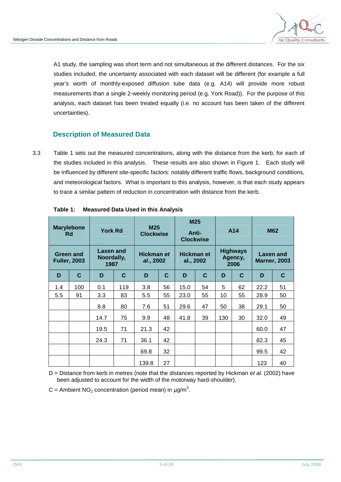

A1 study, the sampling was short term and not simultaneous at the different distances. For the six studies included, the uncertainty associated with each dataset will be different (for example a full year's worth of monthly-exposed diffusion tube data (e.g. A14) will provide more robust measurements than a single 2-weekly monitoring period (e.g. York Road)). For the purpose of this analysis, each dataset has been treated equally (i.e. no account has been taken of the different uncertainties).

## **Description of Measured Data**

3.3 Table 1 sets out the measured concentrations, along with the distance from the kerb, for each of the studies included in this analysis. These results are also shown in Figure 1. Each study will be influenced by different site-specific factors: notably different traffic flows, background conditions, and meteorological factors. What is important to this analysis, however, is that each study appears to trace a similar pattern of reduction in concentration with distance from the kerb.

| <b>Marylebone</b><br><b>Rd</b>   |     | <b>York Rd</b>                  |     | M <sub>25</sub><br><b>Clockwise</b> |    | M25<br>Anti-<br><b>Clockwise</b> |    | A14                                |    | <b>M62</b>                       |    |
|----------------------------------|-----|---------------------------------|-----|-------------------------------------|----|----------------------------------|----|------------------------------------|----|----------------------------------|----|
| Green and<br><b>Fuller, 2003</b> |     | Laxen and<br>Noordally,<br>1987 |     | Hickman et<br>al., 2002             |    | <b>Hickman et</b><br>al., 2002   |    | <b>Highways</b><br>Agency,<br>2006 |    | Laxen and<br><b>Marner, 2003</b> |    |
| D                                | C   | D                               | C   | D                                   | C  | D                                | C  | D                                  | C  | D                                | C  |
| 1.4                              | 100 | 0.1                             | 119 | 3.8                                 | 56 | 15.0                             | 54 | 5                                  | 62 | 22.2                             | 51 |
| 5.5                              | 91  | 3.3                             | 83  | 5.5                                 | 55 | 23.0                             | 55 | 10                                 | 55 | 28.9                             | 50 |
|                                  |     | 8.8                             | 80  | 7.6                                 | 51 | 29.6                             | 47 | 50                                 | 38 | 29.1                             | 50 |
|                                  |     | 14.7                            | 75  | 9.9                                 | 48 | 41.8                             | 39 | 130                                | 30 | 32.0                             | 49 |
|                                  |     | 19.5                            | 71  | 21.3                                | 42 |                                  |    |                                    |    | 60.0                             | 47 |
|                                  |     | 24.3                            | 71  | 36.1                                | 42 |                                  |    |                                    |    | 82.3                             | 45 |
|                                  |     |                                 |     | 69.8                                | 32 |                                  |    |                                    |    | 99.5                             | 42 |
|                                  |     |                                 |     | 139.8                               | 27 |                                  |    |                                    |    | 123                              | 40 |

D = Distance from kerb in metres (note that the distances reported by Hickman *et al.* (2002) have been adjusted to account for the width of the motorway hard-shoulder).

C = Ambient  $NO<sub>2</sub>$  concentration (period mean) in  $\mu$ g/m<sup>3</sup>.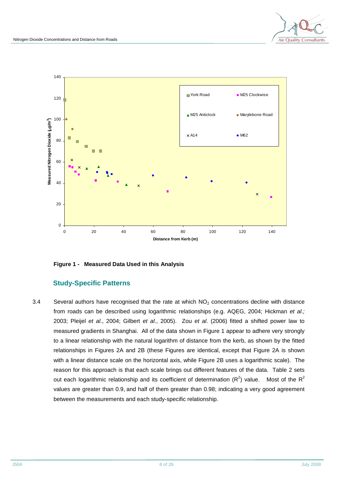



**Figure 1 - Measured Data Used in this Analysis** 

## **Study-Specific Patterns**

3.4 Several authors have recognised that the rate at which  $NO<sub>2</sub>$  concentrations decline with distance from roads can be described using logarithmic relationships (e.g. AQEG, 2004; Hickman *et al.;* 2003; Pleijel *et al*., 2004; Gilbert *et al*., 2005). Zou *et al*. (2006) fitted a shifted power law to measured gradients in Shanghai. All of the data shown in Figure 1 appear to adhere very strongly to a linear relationship with the natural logarithm of distance from the kerb, as shown by the fitted relationships in Figures 2A and 2B (these Figures are identical, except that Figure 2A is shown with a linear distance scale on the horizontal axis, while Figure 2B uses a logarithmic scale). The reason for this approach is that each scale brings out different features of the data. Table 2 sets out each logarithmic relationship and its coefficient of determination ( $R^2$ ) value. Most of the  $R^2$ values are greater than 0.9, and half of them greater than 0.98; indicating a very good agreement between the measurements and each study-specific relationship.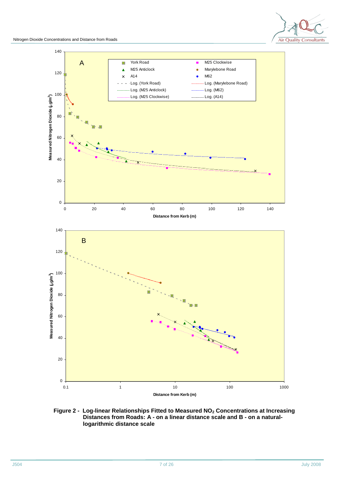



#### **Figure 2 - Log-linear Relationships Fitted to Measured NO2 Concentrations at Increasing Distances from Roads: A - on a linear distance scale and B - on a naturallogarithmic distance scale**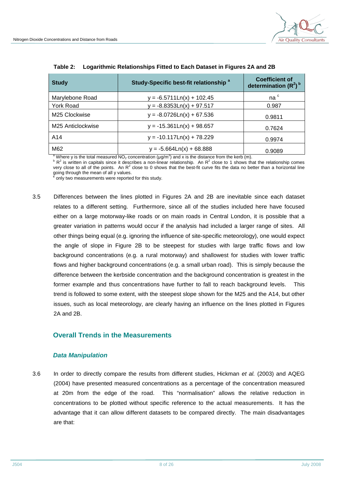

| <b>Study</b>              | Study-Specific best-fit relationship <sup>a</sup> | <b>Coefficient of</b><br>determination $(R^2)^b$ |
|---------------------------|---------------------------------------------------|--------------------------------------------------|
| Marylebone Road           | y = -6.5711Ln(x) + 102.45                         | na <sup>c</sup>                                  |
| York Road                 | $y = -8.8353Ln(x) + 97.517$                       | 0.987                                            |
| M <sub>25</sub> Clockwise | $y = -8.0726Ln(x) + 67.536$                       | 0.9811                                           |
| M25 Anticlockwise         | $y = -15.361Ln(x) + 98.657$                       | 0.7624                                           |
| A14                       | $y = -10.117Ln(x) + 78.229$                       | 0.9974                                           |
| M62                       | $y = -5.664Ln(x) + 68.888$                        | 0.9089                                           |

| Table 2: | Logarithmic Relationships Fitted to Each Dataset in Figures 2A and 2B |  |  |
|----------|-----------------------------------------------------------------------|--|--|
|----------|-----------------------------------------------------------------------|--|--|

<sup>a</sup> Where y is the total measured NO<sub>2</sub> concentration ( $\mu$ g/m<sup>3</sup>) and x is the distance from the kerb (m).

 $B^{\text{b}}$  R<sup>2</sup> is written in capitals since it describes a non-linear relationship. An R<sup>2</sup> close to 1 shows that the relationship comes very close to all of the points. An  $R^2$  close to 0 shows that the best-fit curve fits the data no better than a horizontal line going through the mean of all y values. **c**

only two measurements were reported for this study.

3.5 Differences between the lines plotted in Figures 2A and 2B are inevitable since each dataset relates to a different setting. Furthermore, since all of the studies included here have focused either on a large motorway-like roads or on main roads in Central London, it is possible that a greater variation in patterns would occur if the analysis had included a larger range of sites. All other things being equal (e.g. ignoring the influence of site-specific meteorology), one would expect the angle of slope in Figure 2B to be steepest for studies with large traffic flows and low background concentrations (e.g. a rural motorway) and shallowest for studies with lower traffic flows and higher background concentrations (e.g. a small urban road). This is simply because the difference between the kerbside concentration and the background concentration is greatest in the former example and thus concentrations have further to fall to reach background levels. This trend is followed to some extent, with the steepest slope shown for the M25 and the A14, but other issues, such as local meteorology, are clearly having an influence on the lines plotted in Figures 2A and 2B.

#### **Overall Trends in the Measurements**

#### *Data Manipulation*

3.6 In order to directly compare the results from different studies, Hickman *et al.* (2003) and AQEG (2004) have presented measured concentrations as a percentage of the concentration measured at 20m from the edge of the road. This "normalisation" allows the relative reduction in concentrations to be plotted without specific reference to the actual measurements. It has the advantage that it can allow different datasets to be compared directly. The main disadvantages are that: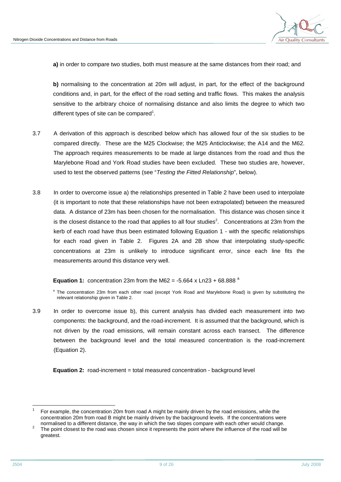

**a)** in order to compare two studies, both must measure at the same distances from their road; and

**b)** normalising to the concentration at 20m will adjust, in part, for the effect of the background conditions and, in part, for the effect of the road setting and traffic flows. This makes the analysis sensitive to the arbitrary choice of normalising distance and also limits the degree to which two different types of site can be compared<sup>1</sup>.

- 3.7 A derivation of this approach is described below which has allowed four of the six studies to be compared directly. These are the M25 Clockwise; the M25 Anticlockwise; the A14 and the M62. The approach requires measurements to be made at large distances from the road and thus the Marylebone Road and York Road studies have been excluded. These two studies are, however, used to test the observed patterns (see "*Testing the Fitted Relationship*", below).
- 3.8 In order to overcome issue a) the relationships presented in Table 2 have been used to interpolate (it is important to note that these relationships have not been extrapolated) between the measured data. A distance of 23m has been chosen for the normalisation. This distance was chosen since it is the closest distance to the road that applies to all four studies<sup>2</sup>. Concentrations at 23m from the kerb of each road have thus been estimated following Equation 1 - with the specific relationships for each road given in Table 2. Figures 2A and 2B show that interpolating study-specific concentrations at 23m is unlikely to introduce significant error, since each line fits the measurements around this distance very well.

**Equation 1:** concentration 23m from the M62 =  $-5.664 \times \text{Ln}23 + 68.888^\text{a}$ 

3.9 In order to overcome issue b), this current analysis has divided each measurement into two components: the background, and the road-increment. It is assumed that the background, which is not driven by the road emissions, will remain constant across each transect. The difference between the background level and the total measured concentration is the road-increment (Equation 2).

**Equation 2:** road-increment = total measured concentration - background level

<sup>&</sup>lt;sup>a</sup> The concentration 23m from each other road (except York Road and Marylebone Road) is given by substituting the relevant relationship given in Table 2.

l 1 For example, the concentration 20m from road A might be mainly driven by the road emissions, while the concentration 20m from road B might be mainly driven by the background levels. If the concentrations were normalised to a different distance, the way in which the two slopes compare with each other would change.

<sup>2</sup> The point closest to the road was chosen since it represents the point where the influence of the road will be greatest.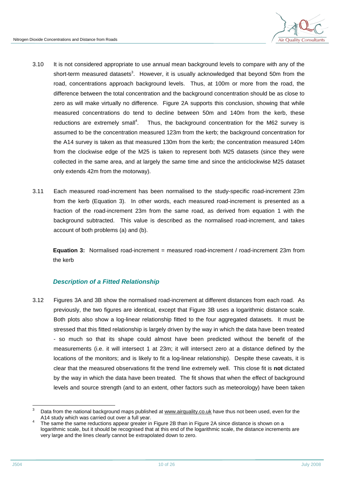

- 3.10 It is not considered appropriate to use annual mean background levels to compare with any of the short-term measured datasets<sup>3</sup>. However, it is usually acknowledged that beyond 50m from the road, concentrations approach background levels. Thus, at 100m or more from the road, the difference between the total concentration and the background concentration should be as close to zero as will make virtually no difference. Figure 2A supports this conclusion, showing that while measured concentrations do tend to decline between 50m and 140m from the kerb, these reductions are extremely small<sup>4</sup>. . Thus, the background concentration for the M62 survey is assumed to be the concentration measured 123m from the kerb; the background concentration for the A14 survey is taken as that measured 130m from the kerb; the concentration measured 140m from the clockwise edge of the M25 is taken to represent both M25 datasets (since they were collected in the same area, and at largely the same time and since the anticlockwise M25 dataset only extends 42m from the motorway).
- 3.11 Each measured road-increment has been normalised to the study-specific road-increment 23m from the kerb (Equation 3). In other words, each measured road-increment is presented as a fraction of the road-increment 23m from the same road, as derived from equation 1 with the background subtracted. This value is described as the normalised road-increment, and takes account of both problems (a) and (b).

**Equation 3:** Normalised road-increment = measured road-increment / road-increment 23m from the kerb

## *Description of a Fitted Relationship*

3.12 Figures 3A and 3B show the normalised road-increment at different distances from each road. As previously, the two figures are identical, except that Figure 3B uses a logarithmic distance scale. Both plots also show a log-linear relationship fitted to the four aggregated datasets. It must be stressed that this fitted relationship is largely driven by the way in which the data have been treated - so much so that its shape could almost have been predicted without the benefit of the measurements (i.e. it will intersect 1 at 23m; it will intersect zero at a distance defined by the locations of the monitors; and is likely to fit a log-linear relationship). Despite these caveats, it is clear that the measured observations fit the trend line extremely well. This close fit is **not** dictated by the way in which the data have been treated. The fit shows that when the effect of background levels and source strength (and to an extent, other factors such as meteorology) have been taken

l

Data from the national background maps published at www.airguality.co.uk have thus not been used, even for the A14 study which was carried out over a full year.

<sup>4</sup> The same the same reductions appear greater in Figure 2B than in Figure 2A since distance is shown on a logarithmic scale, but it should be recognised that at this end of the logarithmic scale, the distance increments are very large and the lines clearly cannot be extrapolated down to zero.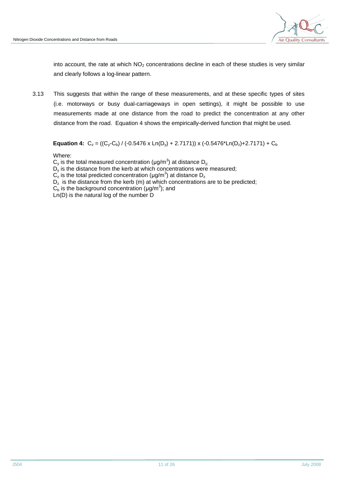

into account, the rate at which  $NO<sub>2</sub>$  concentrations decline in each of these studies is very similar and clearly follows a log-linear pattern.

3.13 This suggests that within the range of these measurements, and at these specific types of sites (i.e. motorways or busy dual-carriageways in open settings), it might be possible to use measurements made at one distance from the road to predict the concentration at any other distance from the road. Equation 4 shows the empirically-derived function that might be used.

**Equation 4:**  $C_z = ((C_v - C_b) / (-0.5476 \times Ln(D_v) + 2.7171)) \times (-0.5476 \times Ln(D_z) + 2.7171) + C_b$ 

Where:

 $\mathsf{C}_{\mathsf{y}}$  is the total measured concentration (µg/m<sup>3</sup>) at distance  $\mathsf{D}_{\mathsf{y};}$  $D_{y}$  is the distance from the kerb at which concentrations were measured;  $\textsf{C}_\textsf{z}^{'}$  is the total predicted concentration (µg/m<sup>3</sup>) at distance  $\textsf{D}_\textsf{z}$  $D<sub>z</sub>$  is the distance from the kerb (m) at which concentrations are to be predicted;  $C_{\rm b}$  is the background concentration (µg/m<sup>3</sup>); and Ln(D) is the natural log of the number D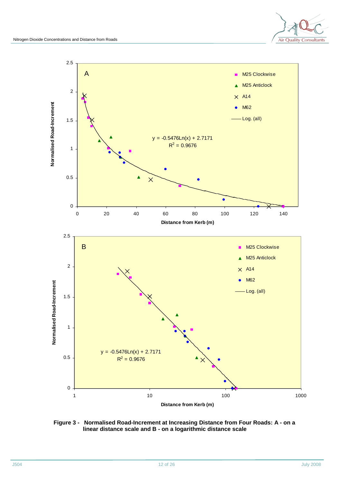



**Figure 3 - Normalised Road-Increment at Increasing Distance from Four Roads: A - on a linear distance scale and B - on a logarithmic distance scale**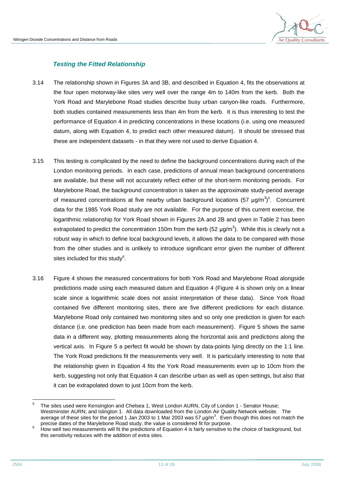

#### *Testing the Fitted Relationship*

- 3.14 The relationship shown in Figures 3A and 3B, and described in Equation 4, fits the observations at the four open motorway-like sites very well over the range 4m to 140m from the kerb. Both the York Road and Marylebone Road studies describe busy urban canyon-like roads. Furthermore, both studies contained measurements less than 4m from the kerb. It is thus interesting to test the performance of Equation 4 in predicting concentrations in these locations (i.e. using one measured datum, along with Equation 4, to predict each other measured datum). It should be stressed that these are independent datasets - in that they were not used to derive Equation 4.
- 3.15 This testing is complicated by the need to define the background concentrations during each of the London monitoring periods. In each case, predictions of annual mean background concentrations are available, but these will not accurately reflect either of the short-term monitoring periods. For Marylebone Road, the background concentration is taken as the approximate study-period average of measured concentrations at five nearby urban background locations (57  $\mu$ g/m<sup>3</sup>)<sup>5</sup>. Concurrent data for the 1985 York Road study are not available. For the purpose of this current exercise, the logarithmic relationship for York Road shown in Figures 2A and 2B and given in Table 2 has been extrapolated to predict the concentration 150m from the kerb (52  $\mu$ g/m<sup>3</sup>). While this is clearly not a robust way in which to define local background levels, it allows the data to be compared with those from the other studies and is unlikely to introduce significant error given the number of different sites included for this study $^6$ .
- 3.16 Figure 4 shows the measured concentrations for both York Road and Marylebone Road alongside predictions made using each measured datum and Equation 4 (Figure 4 is shown only on a linear scale since a logarithmic scale does not assist interpretation of these data). Since York Road contained five different monitoring sites, there are five different predictions for each distance. Marylebone Road only contained two monitoring sites and so only one prediction is given for each distance (i.e. one prediction has been made from each measurement). Figure 5 shows the same data in a different way, plotting measurements along the horizontal axis and predictions along the vertical axis. In Figure 5 a perfect fit would be shown by data-points lying directly on the 1:1 line. The York Road predictions fit the measurements very well. It is particularly interesting to note that the relationship given in Equation 4 fits the York Road measurements even up to 10cm from the kerb, suggesting not only that Equation 4 can describe urban as well as open settings, but also that it can be extrapolated down to just 10cm from the kerb.

<sup>-&</sup>lt;br>5 The sites used were Kensington and Chelsea 1, West London AURN, City of London 1 - Senator House; Westminster AURN; and Islington 1. All data downloaded from the London Air Quality Network website. The average of these sites for the period 1 Jan 2003 to 1 Mar 2003 was 57  $\mu$ g/m<sup>3</sup>. Even though this does not match the precise dates of the Marylebone Road study, the value is considered fit for purpose.

<sup>6</sup> How well two measurements will fit the predictions of Equation 4 is fairly sensitive to the choice of background, but this sensitivity reduces with the addition of extra sites.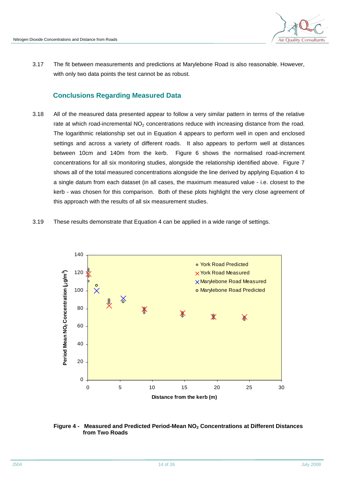

3.17 The fit between measurements and predictions at Marylebone Road is also reasonable. However, with only two data points the test cannot be as robust.

## **Conclusions Regarding Measured Data**

- 3.18 All of the measured data presented appear to follow a very similar pattern in terms of the relative rate at which road-incremental  $NO<sub>2</sub>$  concentrations reduce with increasing distance from the road. The logarithmic relationship set out in Equation 4 appears to perform well in open and enclosed settings and across a variety of different roads. It also appears to perform well at distances between 10cm and 140m from the kerb. Figure 6 shows the normalised road-increment concentrations for all six monitoring studies, alongside the relationship identified above. Figure 7 shows all of the total measured concentrations alongside the line derived by applying Equation 4 to a single datum from each dataset (in all cases, the maximum measured value - i.e. closest to the kerb - was chosen for this comparison. Both of these plots highlight the very close agreement of this approach with the results of all six measurement studies.
- 3.19 These results demonstrate that Equation 4 can be applied in a wide range of settings.



#### **Figure 4 - Measured and Predicted Period-Mean NO2 Concentrations at Different Distances from Two Roads**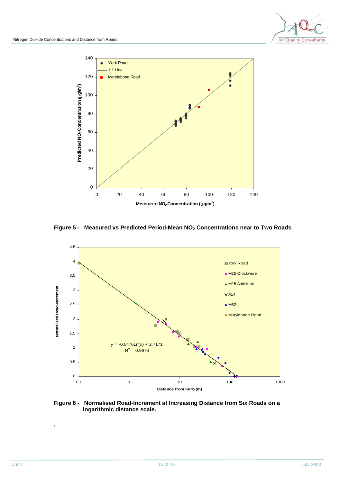



#### **Figure 5 - Measured vs Predicted Period-Mean NO2 Concentrations near to Two Roads**



#### **Figure 6 - Normalised Road-Increment at Increasing Distance from Six Roads on a logarithmic distance scale.**

**.**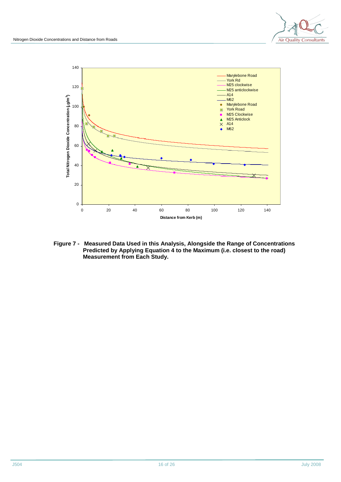

**Figure 7 - Measured Data Used in this Analysis, Alongside the Range of Concentrations Predicted by Applying Equation 4 to the Maximum (i.e. closest to the road) Measurement from Each Study.**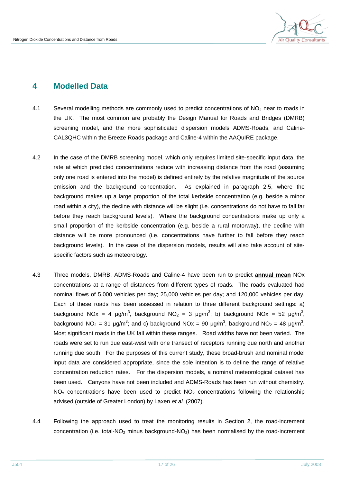

## **4 Modelled Data**

- 4.1 Several modelling methods are commonly used to predict concentrations of  $NO<sub>2</sub>$  near to roads in the UK. The most common are probably the Design Manual for Roads and Bridges (DMRB) screening model, and the more sophisticated dispersion models ADMS-Roads, and Caline-CAL3QHC within the Breeze Roads package and Caline-4 within the AAQuIRE package.
- 4.2 In the case of the DMRB screening model, which only requires limited site-specific input data, the rate at which predicted concentrations reduce with increasing distance from the road (assuming only one road is entered into the model) is defined entirely by the relative magnitude of the source emission and the background concentration. As explained in paragraph 2.5, where the background makes up a large proportion of the total kerbside concentration (e.g. beside a minor road within a city), the decline with distance will be slight (i.e. concentrations do not have to fall far before they reach background levels). Where the background concentrations make up only a small proportion of the kerbside concentration (e.g. beside a rural motorway), the decline with distance will be more pronounced (i.e. concentrations have further to fall before they reach background levels). In the case of the dispersion models, results will also take account of sitespecific factors such as meteorology.
- 4.3 Three models, DMRB, ADMS-Roads and Caline-4 have been run to predict **annual mean** NOx concentrations at a range of distances from different types of roads. The roads evaluated had nominal flows of 5,000 vehicles per day; 25,000 vehicles per day; and 120,000 vehicles per day. Each of these roads has been assessed in relation to three different background settings: a) background NOx = 4  $\mu$ g/m<sup>3</sup>, background NO<sub>2</sub> = 3  $\mu$ g/m<sup>3</sup>; b) background NOx = 52  $\mu$ g/m<sup>3</sup>, background NO<sub>2</sub> = 31 µg/m<sup>3</sup>; and c) background NOx = 90 µg/m<sup>3</sup>, background NO<sub>2</sub> = 48 µg/m<sup>3</sup>. Most significant roads in the UK fall within these ranges. Road widths have not been varied. The roads were set to run due east-west with one transect of receptors running due north and another running due south. For the purposes of this current study, these broad-brush and nominal model input data are considered appropriate, since the sole intention is to define the range of relative concentration reduction rates. For the dispersion models, a nominal meteorological dataset has been used. Canyons have not been included and ADMS-Roads has been run without chemistry.  $NO<sub>x</sub>$  concentrations have been used to predict  $NO<sub>2</sub>$  concentrations following the relationship advised (outside of Greater London) by Laxen *et al.* (2007).
- 4.4 Following the approach used to treat the monitoring results in Section 2, the road-increment concentration (i.e. total-NO<sub>2</sub> minus background-NO<sub>2</sub>) has been normalised by the road-increment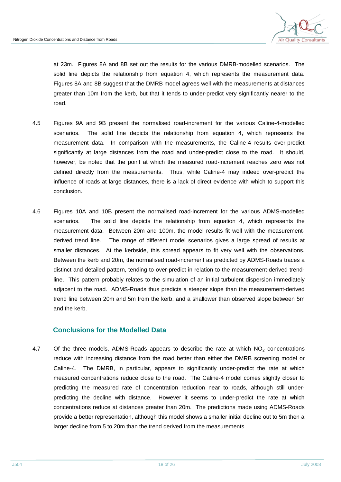

at 23m. Figures 8A and 8B set out the results for the various DMRB-modelled scenarios. The solid line depicts the relationship from equation 4, which represents the measurement data. Figures 8A and 8B suggest that the DMRB model agrees well with the measurements at distances greater than 10m from the kerb, but that it tends to under-predict very significantly nearer to the road.

- 4.5 Figures 9A and 9B present the normalised road-increment for the various Caline-4-modelled scenarios. The solid line depicts the relationship from equation 4, which represents the measurement data. In comparison with the measurements, the Caline-4 results over-predict significantly at large distances from the road and under-predict close to the road. It should, however, be noted that the point at which the measured road-increment reaches zero was not defined directly from the measurements. Thus, while Caline-4 may indeed over-predict the influence of roads at large distances, there is a lack of direct evidence with which to support this conclusion.
- 4.6 Figures 10A and 10B present the normalised road-increment for the various ADMS-modelled scenarios. The solid line depicts the relationship from equation 4, which represents the measurement data. Between 20m and 100m, the model results fit well with the measurementderived trend line. The range of different model scenarios gives a large spread of results at smaller distances. At the kerbside, this spread appears to fit very well with the observations. Between the kerb and 20m, the normalised road-increment as predicted by ADMS-Roads traces a distinct and detailed pattern, tending to over-predict in relation to the measurement-derived trendline. This pattern probably relates to the simulation of an initial turbulent dispersion immediately adjacent to the road. ADMS-Roads thus predicts a steeper slope than the measurement-derived trend line between 20m and 5m from the kerb, and a shallower than observed slope between 5m and the kerb.

## **Conclusions for the Modelled Data**

4.7 Of the three models, ADMS-Roads appears to describe the rate at which NO<sub>2</sub> concentrations reduce with increasing distance from the road better than either the DMRB screening model or Caline-4. The DMRB, in particular, appears to significantly under-predict the rate at which measured concentrations reduce close to the road. The Caline-4 model comes slightly closer to predicting the measured rate of concentration reduction near to roads, although still underpredicting the decline with distance. However it seems to under-predict the rate at which concentrations reduce at distances greater than 20m. The predictions made using ADMS-Roads provide a better representation, although this model shows a smaller initial decline out to 5m then a larger decline from 5 to 20m than the trend derived from the measurements.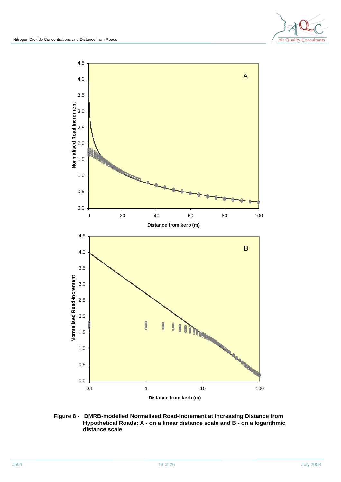



**Figure 8 - DMRB-modelled Normalised Road-Increment at Increasing Distance from Hypothetical Roads: A - on a linear distance scale and B - on a logarithmic distance scale**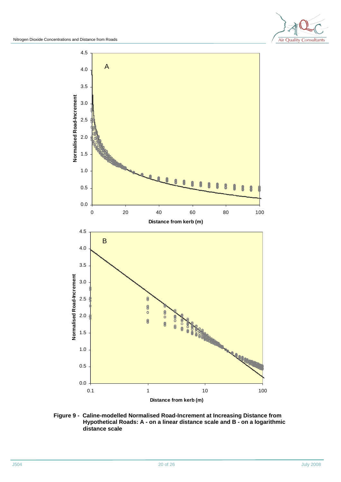

**Figure 9 - Caline-modelled Normalised Road-Increment at Increasing Distance from Hypothetical Roads: A - on a linear distance scale and B - on a logarithmic distance scale**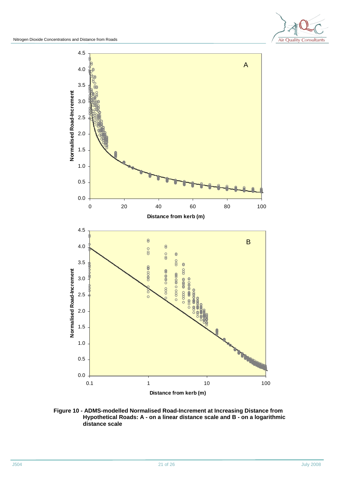



#### **Figure 10 - ADMS-modelled Normalised Road-Increment at Increasing Distance from Hypothetical Roads: A - on a linear distance scale and B - on a logarithmic distance scale**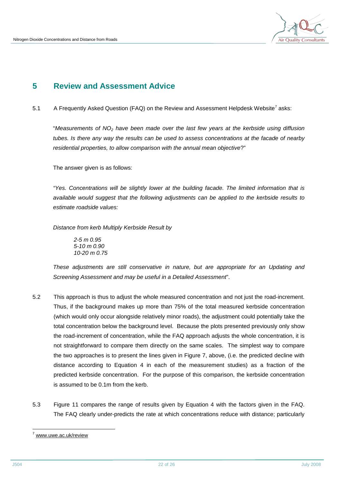

# **5 Review and Assessment Advice**

5.1 A Frequently Asked Question (FAQ) on the Review and Assessment Helpdesk Website<sup>7</sup> asks:

"*Measurements of NO<sup>2</sup> have been made over the last few years at the kerbside using diffusion tubes. Is there any way the results can be used to assess concentrations at the facade of nearby residential properties, to allow comparison with the annual mean objective*?"

The answer given is as follows:

*"Yes. Concentrations will be slightly lower at the building facade. The limited information that is available would suggest that the following adjustments can be applied to the kerbside results to estimate roadside values:* 

*Distance from kerb Multiply Kerbside Result by* 

*2-5 m 0.95 5-10 m 0.90 10-20 m 0.75* 

*These adjustments are still conservative in nature, but are appropriate for an Updating and Screening Assessment and may be useful in a Detailed Assessment*".

- 5.2 This approach is thus to adjust the whole measured concentration and not just the road-increment. Thus, if the background makes up more than 75% of the total measured kerbside concentration (which would only occur alongside relatively minor roads), the adjustment could potentially take the total concentration below the background level. Because the plots presented previously only show the road-increment of concentration, while the FAQ approach adjusts the whole concentration, it is not straightforward to compare them directly on the same scales. The simplest way to compare the two approaches is to present the lines given in Figure 7, above, (i.e. the predicted decline with distance according to Equation 4 in each of the measurement studies) as a fraction of the predicted kerbside concentration. For the purpose of this comparison, the kerbside concentration is assumed to be 0.1m from the kerb.
- 5.3 Figure 11 compares the range of results given by Equation 4 with the factors given in the FAQ. The FAQ clearly under-predicts the rate at which concentrations reduce with distance; particularly

l [www.uwe.ac.uk/review](http://www.uwe.ac.uk/review)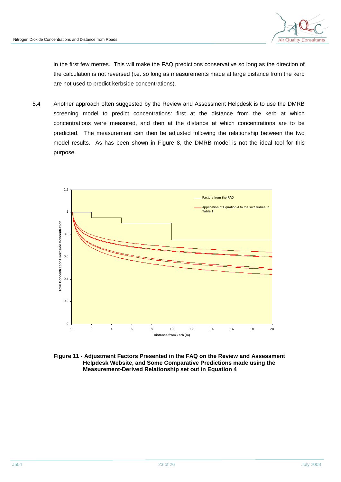

in the first few metres. This will make the FAQ predictions conservative so long as the direction of the calculation is not reversed (i.e. so long as measurements made at large distance from the kerb are not used to predict kerbside concentrations).

5.4 Another approach often suggested by the Review and Assessment Helpdesk is to use the DMRB screening model to predict concentrations: first at the distance from the kerb at which concentrations were measured, and then at the distance at which concentrations are to be predicted. The measurement can then be adjusted following the relationship between the two model results. As has been shown in Figure 8, the DMRB model is not the ideal tool for this purpose.



**Figure 11 - Adjustment Factors Presented in the FAQ on the Review and Assessment Helpdesk Website, and Some Comparative Predictions made using the Measurement-Derived Relationship set out in Equation 4**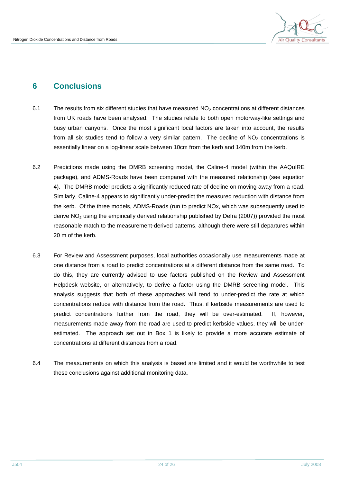

# **6 Conclusions**

- 6.1 The results from six different studies that have measured  $NO<sub>2</sub>$  concentrations at different distances from UK roads have been analysed. The studies relate to both open motorway-like settings and busy urban canyons. Once the most significant local factors are taken into account, the results from all six studies tend to follow a very similar pattern. The decline of  $NO<sub>2</sub>$  concentrations is essentially linear on a log-linear scale between 10cm from the kerb and 140m from the kerb.
- 6.2 Predictions made using the DMRB screening model, the Caline-4 model (within the AAQuIRE package), and ADMS-Roads have been compared with the measured relationship (see equation 4). The DMRB model predicts a significantly reduced rate of decline on moving away from a road. Similarly, Caline-4 appears to significantly under-predict the measured reduction with distance from the kerb. Of the three models, ADMS-Roads (run to predict NOx, which was subsequently used to derive  $NO<sub>2</sub>$  using the empirically derived relationship published by Defra (2007)) provided the most reasonable match to the measurement-derived patterns, although there were still departures within 20 m of the kerb.
- 6.3 For Review and Assessment purposes, local authorities occasionally use measurements made at one distance from a road to predict concentrations at a different distance from the same road. To do this, they are currently advised to use factors published on the Review and Assessment Helpdesk website, or alternatively, to derive a factor using the DMRB screening model. This analysis suggests that both of these approaches will tend to under-predict the rate at which concentrations reduce with distance from the road. Thus, if kerbside measurements are used to predict concentrations further from the road, they will be over-estimated. If, however, measurements made away from the road are used to predict kerbside values, they will be underestimated. The approach set out in Box 1 is likely to provide a more accurate estimate of concentrations at different distances from a road.
- 6.4 The measurements on which this analysis is based are limited and it would be worthwhile to test these conclusions against additional monitoring data.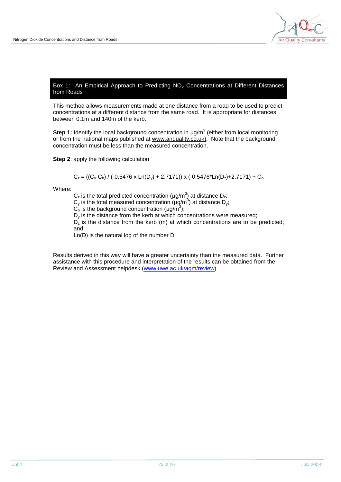

#### Box 1: An Empirical Approach to Predicting  $NO<sub>2</sub>$  Concentrations at Different Distances from Roads

This method allows measurements made at one distance from a road to be used to predict concentrations at a different distance from the same road. It is appropriate for distances between 0.1m and 140m of the kerb.

**Step 1:** Identify the local background concentration in  $\mu$ g/m<sup>3</sup> (either from local monitoring or from the national maps published at [www.airquality.co.uk\).](http://www.airquality.co.uk)) Note that the background concentration must be less than the measured concentration.

**Step 2**: apply the following calculation

$$
C_z = ((C_y - C_b) / (-0.5476 \times Ln(D_y) + 2.7171)) \times (-0.5476 \times Ln(D_z) + 2.7171) + C_b
$$

Where:

 $C_z$  is the total predicted concentration ( $\mu$ g/m<sup>3</sup>) at distance D<sub>z</sub>;

 $C_y$  is the total measured concentration  $(\mu q/m^3)$  at distance  $D_y$ ;

 $C_p$  is the background concentration ( $\mu$ g/m<sup>3</sup>);

 $D<sub>y</sub>$  is the distance from the kerb at which concentrations were measured;

 $D_z$  is the distance from the kerb (m) at which concentrations are to be predicted; and

Ln(D) is the natural log of the number D

Results derived in this way will have a greater uncertainty than the measured data. Further assistance with this procedure and interpretation of the results can be obtained from the Review and Assessment helpdesk ([www.uwe.ac.uk/aqm/review](http://www.uwe.ac.uk/aqm/review)).